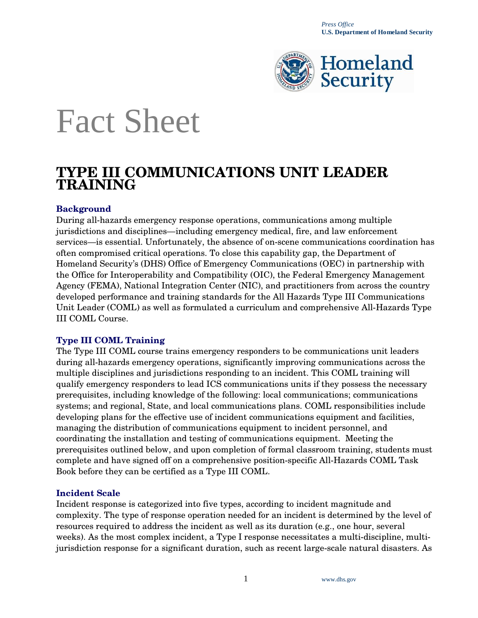

# Fact Sheet

## **TYPE III COMMUNICATIONS UNIT LEADER TRAINING**

#### **Background**

During all-hazards emergency response operations, communications among multiple jurisdictions and disciplines—including emergency medical, fire, and law enforcement services—is essential. Unfortunately, the absence of on-scene communications coordination has often compromised critical operations. To close this capability gap, the Department of Homeland Security's (DHS) Office of Emergency Communications (OEC) in partnership with the Office for Interoperability and Compatibility (OIC), the Federal Emergency Management Agency (FEMA), National Integration Center (NIC), and practitioners from across the country developed performance and training standards for the All Hazards Type III Communications Unit Leader (COML) as well as formulated a curriculum and comprehensive All-Hazards Type III COML Course.

#### **Type III COML Training**

The Type III COML course trains emergency responders to be communications unit leaders during all-hazards emergency operations, significantly improving communications across the multiple disciplines and jurisdictions responding to an incident. This COML training will qualify emergency responders to lead ICS communications units if they possess the necessary prerequisites, including knowledge of the following: local communications; communications systems; and regional, State, and local communications plans. COML responsibilities include developing plans for the effective use of incident communications equipment and facilities, managing the distribution of communications equipment to incident personnel, and coordinating the installation and testing of communications equipment. Meeting the prerequisites outlined below, and upon completion of formal classroom training, students must complete and have signed off on a comprehensive position-specific All-Hazards COML Task Book before they can be certified as a Type III COML.

#### **Incident Scale**

Incident response is categorized into five types, according to incident magnitude and complexity. The type of response operation needed for an incident is determined by the level of resources required to address the incident as well as its duration (e.g., one hour, several weeks). As the most complex incident, a Type I response necessitates a multi-discipline, multijurisdiction response for a significant duration, such as recent large-scale natural disasters. As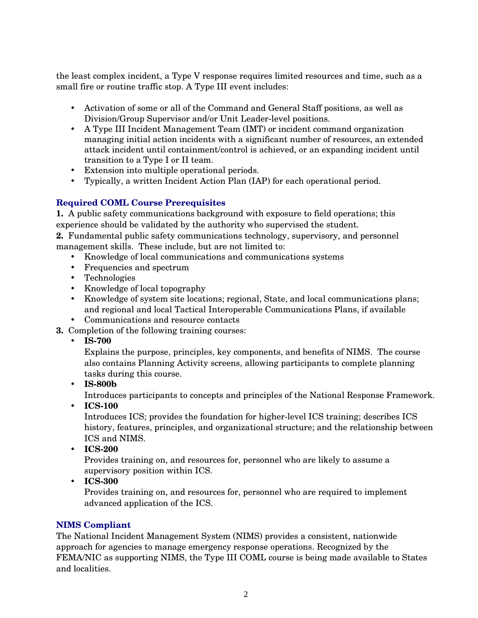the least complex incident, a Type V response requires limited resources and time, such as a small fire or routine traffic stop. A Type III event includes:

- Activation of some or all of the Command and General Staff positions, as well as Division/Group Supervisor and/or Unit Leader-level positions.
- A Type III Incident Management Team (IMT) or incident command organization managing initial action incidents with a significant number of resources, an extended attack incident until containment/control is achieved, or an expanding incident until transition to a Type I or II team.
- Extension into multiple operational periods.
- Typically, a written Incident Action Plan (IAP) for each operational period.

### **Required COML Course Prerequisites**

**1.** A public safety communications background with exposure to field operations; this experience should be validated by the authority who supervised the student.

**2.** Fundamental public safety communications technology, supervisory, and personnel management skills. These include, but are not limited to:

- Knowledge of local communications and communications systems
- Frequencies and spectrum
- Technologies
- Knowledge of local topography
- Knowledge of system site locations; regional, State, and local communications plans; and regional and local Tactical Interoperable Communications Plans, if available
- Communications and resource contacts
- **3.** Completion of the following training courses:
	- **IS-700**

Explains the purpose, principles, key components, and benefits of NIMS. The course also contains Planning Activity screens, allowing participants to complete planning tasks during this course.

• **IS-800b** 

Introduces participants to concepts and principles of the National Response Framework.

• **ICS-100** 

Introduces ICS; provides the foundation for higher-level ICS training; describes ICS history, features, principles, and organizational structure; and the relationship between ICS and NIMS.

• **ICS-200** 

Provides training on, and resources for, personnel who are likely to assume a supervisory position within ICS.

• **ICS-300** 

Provides training on, and resources for, personnel who are required to implement advanced application of the ICS.

#### **NIMS Compliant**

The National Incident Management System (NIMS) provides a consistent, nationwide approach for agencies to manage emergency response operations. Recognized by the FEMA/NIC as supporting NIMS, the Type III COML course is being made available to States and localities.